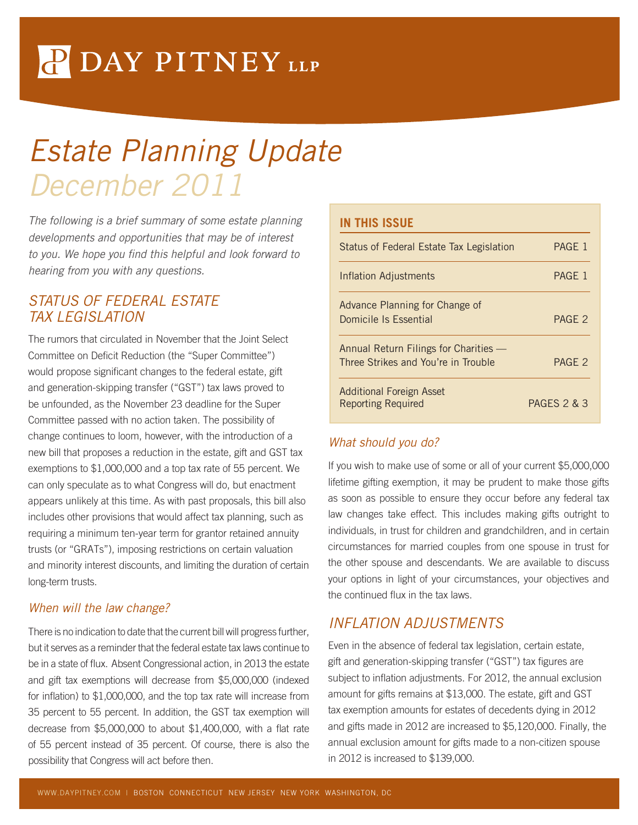# P DAY PITNEY LLP

# Estate Planning Update December 2011

The following is a brief summary of some estate planning developments and opportunities that may be of interest to you. We hope you find this helpful and look forward to hearing from you with any questions.

### STATUS OF FEDERAL ESTATE TAX LEGISLATION

The rumors that circulated in November that the Joint Select Committee on Deficit Reduction (the "Super Committee") would propose significant changes to the federal estate, gift and generation-skipping transfer ("GST") tax laws proved to be unfounded, as the November 23 deadline for the Super Committee passed with no action taken. The possibility of change continues to loom, however, with the introduction of a new bill that proposes a reduction in the estate, gift and GST tax exemptions to \$1,000,000 and a top tax rate of 55 percent. We can only speculate as to what Congress will do, but enactment appears unlikely at this time. As with past proposals, this bill also includes other provisions that would affect tax planning, such as requiring a minimum ten-year term for grantor retained annuity trusts (or "GRATs"), imposing restrictions on certain valuation and minority interest discounts, and limiting the duration of certain long-term trusts.

#### When will the law change?

There is no indication to date that the current bill will progress further, but it serves as a reminder that the federal estate tax laws continue to be in a state of flux. Absent Congressional action, in 2013 the estate and gift tax exemptions will decrease from \$5,000,000 (indexed for inflation) to \$1,000,000, and the top tax rate will increase from 35 percent to 55 percent. In addition, the GST tax exemption will decrease from \$5,000,000 to about \$1,400,000, with a flat rate of 55 percent instead of 35 percent. Of course, there is also the possibility that Congress will act before then.

#### **IN THIS ISSUE**

| Status of Federal Estate Tax Legislation                                     | PAGE 1                 |
|------------------------------------------------------------------------------|------------------------|
| <b>Inflation Adjustments</b>                                                 | PAGE 1                 |
| Advance Planning for Change of<br>Domicile Is Essential                      | PAGF <sub>2</sub>      |
| Annual Return Filings for Charities —<br>Three Strikes and You're in Trouble | PAGE <sub>2</sub>      |
| <b>Additional Foreign Asset</b><br><b>Reporting Required</b>                 | <b>PAGES 2 &amp; 3</b> |

#### What should you do?

If you wish to make use of some or all of your current \$5,000,000 lifetime gifting exemption, it may be prudent to make those gifts as soon as possible to ensure they occur before any federal tax law changes take effect. This includes making gifts outright to individuals, in trust for children and grandchildren, and in certain circumstances for married couples from one spouse in trust for the other spouse and descendants. We are available to discuss your options in light of your circumstances, your objectives and the continued flux in the tax laws.

# INFLATION ADJUSTMENTS

Even in the absence of federal tax legislation, certain estate, gift and generation-skipping transfer ("GST") tax figures are subject to inflation adjustments. For 2012, the annual exclusion amount for gifts remains at \$13,000. The estate, gift and GST tax exemption amounts for estates of decedents dying in 2012 and gifts made in 2012 are increased to \$5,120,000. Finally, the annual exclusion amount for gifts made to a non-citizen spouse in 2012 is increased to \$139,000.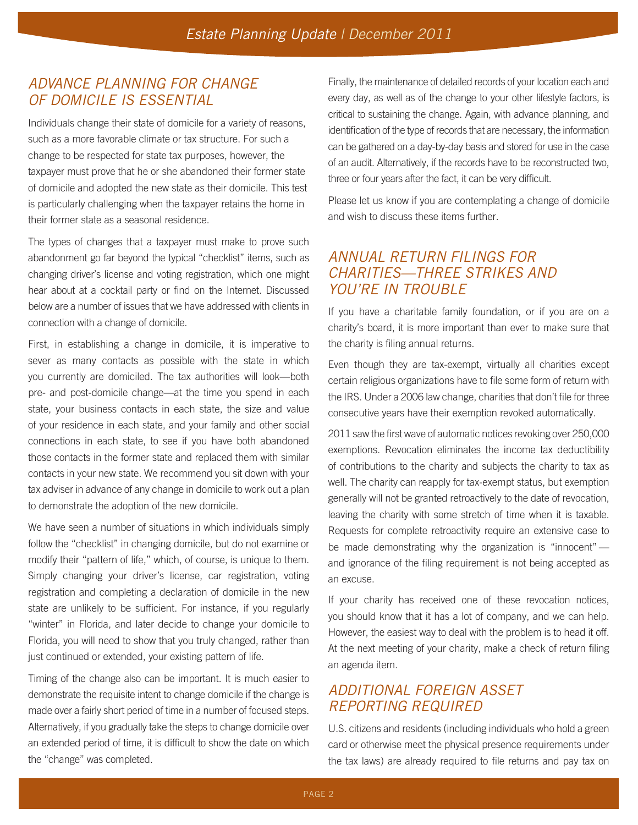## ADVANCE PLANNING FOR CHANGE OF DOMICILE IS ESSENTIAL

Individuals change their state of domicile for a variety of reasons, such as a more favorable climate or tax structure. For such a change to be respected for state tax purposes, however, the taxpayer must prove that he or she abandoned their former state of domicile and adopted the new state as their domicile. This test is particularly challenging when the taxpayer retains the home in their former state as a seasonal residence.

The types of changes that a taxpayer must make to prove such abandonment go far beyond the typical "checklist" items, such as changing driver's license and voting registration, which one might hear about at a cocktail party or find on the Internet. Discussed below are a number of issues that we have addressed with clients in connection with a change of domicile.

First, in establishing a change in domicile, it is imperative to sever as many contacts as possible with the state in which you currently are domiciled. The tax authorities will look—both pre- and post-domicile change—at the time you spend in each state, your business contacts in each state, the size and value of your residence in each state, and your family and other social connections in each state, to see if you have both abandoned those contacts in the former state and replaced them with similar contacts in your new state. We recommend you sit down with your tax adviser in advance of any change in domicile to work out a plan to demonstrate the adoption of the new domicile.

We have seen a number of situations in which individuals simply follow the "checklist" in changing domicile, but do not examine or modify their "pattern of life," which, of course, is unique to them. Simply changing your driver's license, car registration, voting registration and completing a declaration of domicile in the new state are unlikely to be sufficient. For instance, if you regularly "winter" in Florida, and later decide to change your domicile to Florida, you will need to show that you truly changed, rather than just continued or extended, your existing pattern of life.

Timing of the change also can be important. It is much easier to demonstrate the requisite intent to change domicile if the change is made over a fairly short period of time in a number of focused steps. Alternatively, if you gradually take the steps to change domicile over an extended period of time, it is difficult to show the date on which the "change" was completed.

Finally, the maintenance of detailed records of your location each and every day, as well as of the change to your other lifestyle factors, is critical to sustaining the change. Again, with advance planning, and identification of the type of records that are necessary, the information can be gathered on a day-by-day basis and stored for use in the case of an audit. Alternatively, if the records have to be reconstructed two, three or four years after the fact, it can be very difficult.

Please let us know if you are contemplating a change of domicile and wish to discuss these items further.

## ANNUAL RETURN FILINGS FOR CHARITIES—THREE STRIKES AND YOU'RE IN TROUBLE

If you have a charitable family foundation, or if you are on a charity's board, it is more important than ever to make sure that the charity is filing annual returns.

Even though they are tax-exempt, virtually all charities except certain religious organizations have to file some form of return with the IRS. Under a 2006 law change, charities that don't file for three consecutive years have their exemption revoked automatically.

2011 saw the first wave of automatic notices revoking over 250,000 exemptions. Revocation eliminates the income tax deductibility of contributions to the charity and subjects the charity to tax as well. The charity can reapply for tax-exempt status, but exemption generally will not be granted retroactively to the date of revocation, leaving the charity with some stretch of time when it is taxable. Requests for complete retroactivity require an extensive case to be made demonstrating why the organization is "innocent" and ignorance of the filing requirement is not being accepted as an excuse.

If your charity has received one of these revocation notices, you should know that it has a lot of company, and we can help. However, the easiest way to deal with the problem is to head it off. At the next meeting of your charity, make a check of return filing an agenda item.

# ADDITIONAL FOREIGN ASSET REPORTING REQUIRED

U.S. citizens and residents (including individuals who hold a green card or otherwise meet the physical presence requirements under the tax laws) are already required to file returns and pay tax on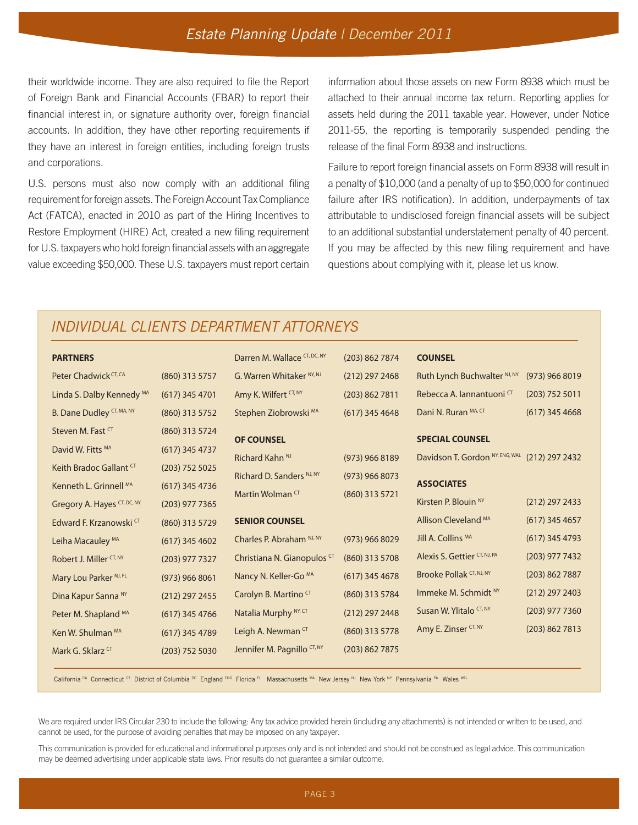## Estate Planning Update | December 2011

their worldwide income. They are also required to file the Report of Foreign Bank and Financial Accounts (FBAR) to report their financial interest in, or signature authority over, foreign financial accounts. In addition, they have other reporting requirements if they have an interest in foreign entities, including foreign trusts and corporations.

U.S. persons must also now comply with an additional filing requirement for foreign assets. The Foreign Account Tax Compliance Act (FATCA), enacted in 2010 as part of the Hiring Incentives to Restore Employment (HIRE) Act, created a new filing requirement for U.S. taxpayers who hold foreign financial assets with an aggregate value exceeding \$50,000. These U.S. taxpayers must report certain

information about those assets on new Form 8938 which must be attached to their annual income tax return. Reporting applies for assets held during the 2011 taxable year. However, under Notice 2011-55, the reporting is temporarily suspended pending the release of the final Form 8938 and instructions.

Failure to report foreign financial assets on Form 8938 will result in a penalty of \$10,000 (and a penalty of up to \$50,000 for continued failure after IRS notification). In addition, underpayments of tax attributable to undisclosed foreign financial assets will be subject to an additional substantial understatement penalty of 40 percent. If you may be affected by this new filing requirement and have questions about complying with it, please let us know.

## INDIVIDUAL CLIENTS DEPARTMENT ATTORNEYS

| <b>PARTNERS</b>                   |                  | Darren M. Wallace CT, DC, NY     | (203) 862 7874   | <b>COUNSEL</b>                  |                  |
|-----------------------------------|------------------|----------------------------------|------------------|---------------------------------|------------------|
| Peter Chadwick CT, CA             | (860) 313 5757   | G. Warren Whitaker NY, NJ        | $(212)$ 297 2468 | Ruth Lynch Buchwalter NJ, NY    | (973) 966 8019   |
| Linda S. Dalby Kennedy MA         | $(617)$ 345 4701 | Amy K. Wilfert CT, NY            | (203) 862 7811   | Rebecca A. lannantuoni CT       | $(203)$ 752 5011 |
| B. Dane Dudley CT, MA, NY         | (860) 313 5752   | Stephen Ziobrowski MA            | $(617)$ 345 4648 | Dani N. Ruran MA, CT            | $(617)$ 345 4668 |
| Steven M. Fast CT                 | (860) 313 5724   | <b>OF COUNSEL</b>                |                  | <b>SPECIAL COUNSEL</b>          |                  |
| David W. Fitts MA                 | $(617)$ 345 4737 |                                  |                  |                                 |                  |
| Keith Bradoc Gallant CT           | $(203)$ 752 5025 | Richard Kahn <sup>NJ</sup>       | $(973)$ 966 8189 | Davidson T. Gordon NY, ENG, WAL | (212) 297 2432   |
|                                   |                  | Richard D. Sanders NJ, NY        | $(973)$ 966 8073 | <b>ASSOCIATES</b>               |                  |
| Kenneth L. Grinnell MA            | $(617)$ 345 4736 | Martin Wolman CT                 | (860) 313 5721   |                                 |                  |
| Gregory A. Hayes CT, DC, NY       | $(203)$ 977 7365 |                                  |                  | Kirsten P. Blouin <sup>NY</sup> | $(212)$ 297 2433 |
| Edward F. Krzanowski CT           | (860) 313 5729   | <b>SENIOR COUNSEL</b>            |                  | Allison Cleveland MA            | $(617)$ 345 4657 |
| Leiha Macauley MA                 | $(617)$ 345 4602 | Charles P. Abraham NJ, NY        | (973) 966 8029   | Jill A. Collins MA              | $(617)$ 345 4793 |
| Robert J. Miller CT, NY           | $(203)$ 977 7327 | Christiana N. Gianopulos CT      | (860) 313 5708   | Alexis S. Gettier CT, NJ, PA    | (203) 977 7432   |
| Mary Lou Parker <sup>NJ, FL</sup> | $(973)$ 966 8061 | Nancy N. Keller-Go <sup>MA</sup> | $(617)$ 345 4678 | Brooke Pollak CT, NJ, NY        | (203) 862 7887   |
| Dina Kapur Sanna NY               | $(212)$ 297 2455 | Carolyn B. Martino <sup>CT</sup> | (860) 313 5784   | Immeke M. Schmidt NY            | $(212)$ 297 2403 |
| Peter M. Shapland MA              | $(617)$ 345 4766 | Natalia Murphy <sup>NY, CT</sup> | (212) 297 2448   | Susan W. Ylitalo CT, NY         | $(203)$ 977 7360 |
| Ken W. Shulman MA                 | $(617)$ 345 4789 | Leigh A. Newman CT               | (860) 313 5778   | Amy E. Zinser CT, NY            | (203) 862 7813   |
| Mark G. Sklarz CT                 | $(203)$ 752 5030 | Jennifer M. Pagnillo CT, NY      | (203)8627875     |                                 |                  |

California CA Connecticut CT District of Columbia DC England ENG Florida FL Massachusetts MA New Jersey NJ New York NY Pennsylvania PA Wales WAL

We are required under IRS Circular 230 to include the following: Any tax advice provided herein (including any attachments) is not intended or written to be used, and cannot be used, for the purpose of avoiding penalties that may be imposed on any taxpayer.

This communication is provided for educational and informational purposes only and is not intended and should not be construed as legal advice. This communication may be deemed advertising under applicable state laws. Prior results do not guarantee a similar outcome.